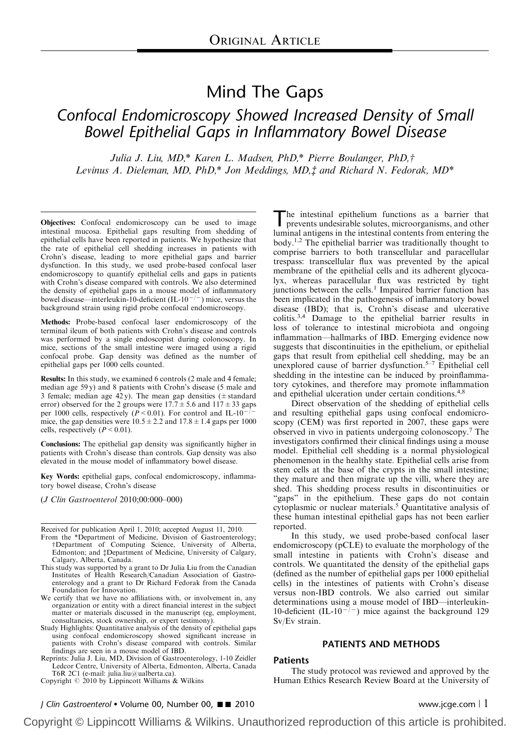# Mind The Gaps

# Confocal Endomicroscopy Showed Increased Density of Small Bowel Epithelial Gaps in Inflammatory Bowel Disease

Julia J. Liu, MD,\* Karen L. Madsen, PhD,\* Pierre Boulanger, PhD,† Levinus A. Dieleman, MD, PhD,\* Jon Meddings, MD, $\ddot{\tau}$  and Richard N. Fedorak, MD\*

Objectives: Confocal endomicroscopy can be used to image intestinal mucosa. Epithelial gaps resulting from shedding of epithelial cells have been reported in patients. We hypothesize that the rate of epithelial cell shedding increases in patients with Crohn's disease, leading to more epithelial gaps and barrier dysfunction. In this study, we used probe-based confocal laser endomicroscopy to quantify epithelial cells and gaps in patients with Crohn's disease compared with controls. We also determined the density of epithelial gaps in a mouse model of inflammatory bowel disease—interleukin-10-deficient (IL-10<sup>-/-</sup>) mice, versus the background strain using rigid probe confocal endomicroscopy.

Methods: Probe-based confocal laser endomicroscopy of the terminal ileum of both patients with Crohn's disease and controls was performed by a single endoscopist during colonoscopy. In mice, sections of the small intestine were imaged using a rigid confocal probe. Gap density was defined as the number of epithelial gaps per 1000 cells counted.

Results: In this study, we examined 6 controls (2 male and 4 female; median age 59 y) and 8 patients with Crohn's disease (5 male and 3 female; median age  $42 y$ ). The mean gap densities ( $\pm$  standard error) observed for the 2 groups were  $17.7 \pm 5.6$  and  $117 \pm 33$  gaps per 1000 cells, respectively ( $\vec{P}$  < 0.01). For control and IL-10<sup>- $\hat{I}$ -</sup> mice, the gap densities were  $10.5 \pm 2.2$  and  $17.8 \pm 1.4$  gaps per 1000 cells, respectively  $(P < 0.01)$ .

Conclusions: The epithelial gap density was significantly higher in patients with Crohn's disease than controls. Gap density was also elevated in the mouse model of inflammatory bowel disease.

Key Words: epithelial gaps, confocal endomicroscopy, inflammatory bowel disease, Crohn's disease

(J Clin Gastroenterol 2010;00:000–000)

Received for publication April 1, 2010; accepted August 11, 2010.

- From the \*Department of Medicine, Division of Gastroenterology; †Department of Computing Science, University of Alberta, Edmonton; and ‡Department of Medicine, University of Calgary, Calgary, Alberta, Canada.
- This study was supported by a grant to Dr Julia Liu from the Canadian Institutes of Health Research/Canadian Association of Gastroenterology and a grant to Dr Richard Fedorak from the Canada Foundation for Innovation.
- We certify that we have no affiliations with, or involvement in, any organization or entity with a direct financial interest in the subject matter or materials discussed in the manuscript (eg, employment, consultancies, stock ownership, or expert testimony).
- Study Highlights: Quantitative analysis of the density of epithelial gaps using confocal endomicroscopy showed significant increase in patients with Crohn's disease compared with controls. Similar findings are seen in a mouse model of IBD.
- Reprints: Julia J. Liu, MD, Division of Gastroenterology, 1-10 Zeidler Ledcor Centre, University of Alberta, Edmonton, Alberta, Canada T6R 2C1 (e-mail: julia.liu@ualberta.ca).

The intestinal epithelium functions as a barrier that<br>prevents undesirable solutes, microorganisms, and other luminal antigens in the intestinal contents from entering the body.1,2 The epithelial barrier was traditionally thought to comprise barriers to both transcellular and paracellular trespass: transcellular flux was prevented by the apical membrane of the epithelial cells and its adherent glycocalyx, whereas paracellular flux was restricted by tight junctions between the cells.<sup>1</sup> Impaired barrier function has been implicated in the pathogenesis of inflammatory bowel disease (IBD); that is, Crohn's disease and ulcerative colitis.3,4 Damage to the epithelial barrier results in loss of tolerance to intestinal microbiota and ongoing inflammation—hallmarks of IBD. Emerging evidence now suggests that discontinuities in the epithelium, or epithelial gaps that result from epithelial cell shedding, may be an unexplored cause of barrier dysfunction.<sup>5–7</sup> Epithelial cell shedding in the intestine can be induced by proinflammatory cytokines, and therefore may promote inflammation and epithelial ulceration under certain conditions.4,8

Direct observation of the shedding of epithelial cells and resulting epithelial gaps using confocal endomicroscopy (CEM) was first reported in 2007, these gaps were observed in vivo in patients undergoing colonoscopy.<sup>7</sup> The investigators confirmed their clinical findings using a mouse model. Epithelial cell shedding is a normal physiological phenomenon in the healthy state. Epithelial cells arise from stem cells at the base of the crypts in the small intestine; they mature and then migrate up the villi, where they are shed. This shedding process results in discontinuities or "gaps" in the epithelium. These gaps do not contain cytoplasmic or nuclear materials.<sup>5</sup> Quantitative analysis of these human intestinal epithelial gaps has not been earlier reported.

In this study, we used probe-based confocal laser endomicroscopy (pCLE) to evaluate the morphology of the small intestine in patients with Crohn's disease and controls. We quantitated the density of the epithelial gaps (defined as the number of epithelial gaps per 1000 epithelial cells) in the intestines of patients with Crohn's disease versus non-IBD controls. We also carried out similar determinations using a mouse model of IBD—interleukin-10-deficient (IL-10<sup>-/-</sup>) mice against the background 129 Sv/Ev strain.

# PATIENTS AND METHODS

## Patients

The study protocol was reviewed and approved by the Copyright © 2010 by Lippincott Williams & Wilkins Human Ethics Research Review Board at the University of

J Clin Gastroenterol • Volume 00, Number 00, ■■ 2010 www.jcge.com | 1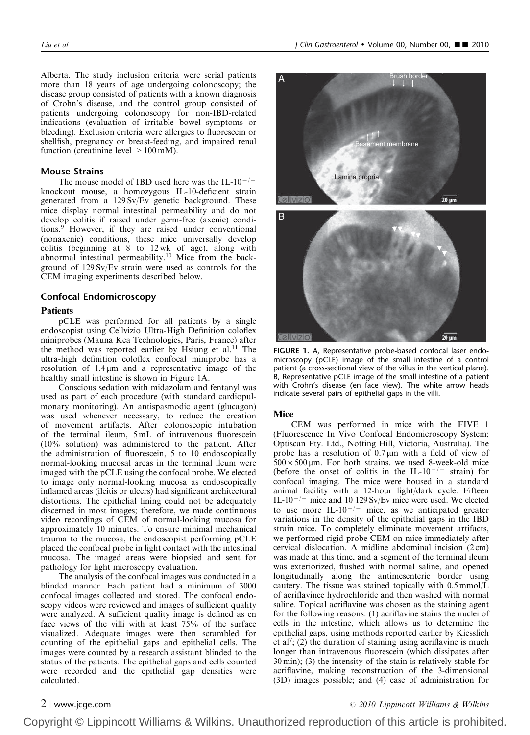Alberta. The study inclusion criteria were serial patients more than 18 years of age undergoing colonoscopy; the disease group consisted of patients with a known diagnosis of Crohn's disease, and the control group consisted of patients undergoing colonoscopy for non-IBD-related indications (evaluation of irritable bowel symptoms or bleeding). Exclusion criteria were allergies to fluorescein or shellfish, pregnancy or breast-feeding, and impaired renal function (creatinine level  $>100 \text{ mM}$ ).

## Mouse Strains

The mouse model of IBD used here was the IL- $10^{-/-}$ knockout mouse, a homozygous IL-10-deficient strain generated from a 129 Sv/Ev genetic background. These mice display normal intestinal permeability and do not develop colitis if raised under germ-free (axenic) conditions.<sup>9</sup> However, if they are raised under conventional (nonaxenic) conditions, these mice universally develop colitis (beginning at 8 to 12 wk of age), along with abnormal intestinal permeability.<sup>10</sup> Mice from the background of 129 Sv/Ev strain were used as controls for the CEM imaging experiments described below.

### Confocal Endomicroscopy

### Patients

pCLE was performed for all patients by a single endoscopist using Cellvizio Ultra-High Definition coloflex miniprobes (Mauna Kea Technologies, Paris, France) after the method was reported earlier by Hsiung et al.<sup>11</sup> The ultra-high definition coloflex confocal miniprobe has a resolution of  $1.4 \mu m$  and a representative image of the healthy small intestine is shown in Figure 1A.

Conscious sedation with midazolam and fentanyl was used as part of each procedure (with standard cardiopulmonary monitoring). An antispasmodic agent (glucagon) was used whenever necessary, to reduce the creation of movement artifacts. After colonoscopic intubation of the terminal ileum, 5 mL of intravenous fluorescein (10% solution) was administered to the patient. After the administration of fluorescein, 5 to 10 endoscopically normal-looking mucosal areas in the terminal ileum were imaged with the pCLE using the confocal probe. We elected to image only normal-looking mucosa as endoscopically inflamed areas (ileitis or ulcers) had significant architectural distortions. The epithelial lining could not be adequately discerned in most images; therefore, we made continuous video recordings of CEM of normal-looking mucosa for approximately 10 minutes. To ensure minimal mechanical trauma to the mucosa, the endoscopist performing pCLE placed the confocal probe in light contact with the intestinal mucosa. The imaged areas were biopsied and sent for pathology for light microscopy evaluation.

The analysis of the confocal images was conducted in a blinded manner. Each patient had a minimum of 3000 confocal images collected and stored. The confocal endoscopy videos were reviewed and images of sufficient quality were analyzed. A sufficient quality image is defined as en face views of the villi with at least 75% of the surface visualized. Adequate images were then scrambled for counting of the epithelial gaps and epithelial cells. The images were counted by a research assistant blinded to the status of the patients. The epithelial gaps and cells counted were recorded and the epithelial gap densities were calculated.



FIGURE 1. A, Representative probe-based confocal laser endomicroscopy (pCLE) image of the small intestine of a control patient (a cross-sectional view of the villus in the vertical plane). B, Representative pCLE image of the small intestine of a patient with Crohn's disease (en face view). The white arrow heads indicate several pairs of epithelial gaps in the villi.

#### Mice

CEM was performed in mice with the FIVE 1 (Fluorescence In Vivo Confocal Endomicroscopy System; Optiscan Pty. Ltd., Notting Hill, Victoria, Australia). The probe has a resolution of  $0.7 \mu m$  with a field of view of  $500 \times 500$  µm. For both strains, we used 8-week-old mice (before the onset of colitis in the IL-10<sup>-/-</sup> strain) for confocal imaging. The mice were housed in a standard animal facility with a 12-hour light/dark cycle. Fifteen IL-10<sup>-/-</sup> mice and 10 129 Sv/Ev mice were used. We elected to use more IL-10<sup>-/-</sup> mice, as we anticipated greater variations in the density of the epithelial gaps in the IBD strain mice. To completely eliminate movement artifacts, we performed rigid probe CEM on mice immediately after cervical dislocation. A midline abdominal incision (2 cm) was made at this time, and a segment of the terminal ileum was exteriorized, flushed with normal saline, and opened longitudinally along the antimesenteric border using cautery. The tissue was stained topically with 0.5 mmol/L of acriflavinee hydrochloride and then washed with normal saline. Topical acriflavine was chosen as the staining agent for the following reasons: (1) acriflavine stains the nuclei of cells in the intestine, which allows us to determine the epithelial gaps, using methods reported earlier by Kiesslich et al<sup>7</sup>; (2) the duration of staining using acriflavine is much longer than intravenous fluorescein (which dissipates after 30 min); (3) the intensity of the stain is relatively stable for acriflavine, making reconstruction of the 3-dimensional (3D) images possible; and (4) ease of administration for

# $2 \mid$  www.jcge.com  $\degree$  2010 Lippincott Williams & Wilkins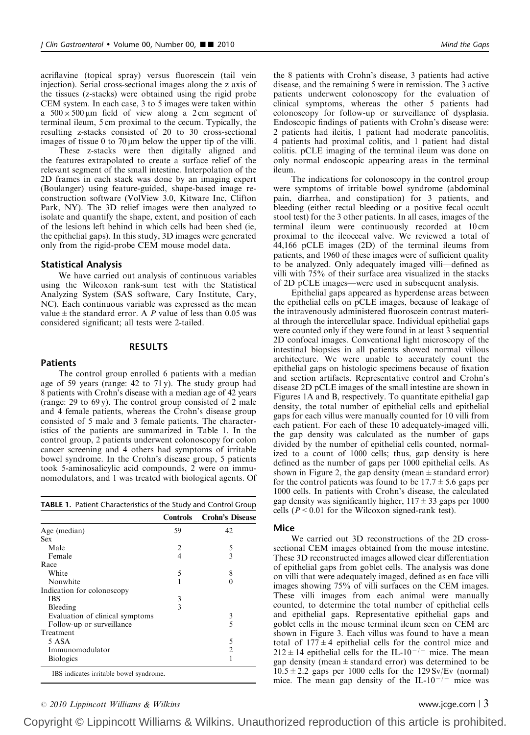acriflavine (topical spray) versus fluorescein (tail vein injection). Serial cross-sectional images along the z axis of the tissues (z-stacks) were obtained using the rigid probe CEM system. In each case, 3 to 5 images were taken within a  $500 \times 500 \,\mu m$  field of view along a 2 cm segment of terminal ileum, 5 cm proximal to the cecum. Typically, the resulting z-stacks consisted of 20 to 30 cross-sectional images of tissue 0 to  $70 \mu m$  below the upper tip of the villi.

These z-stacks were then digitally aligned and the features extrapolated to create a surface relief of the relevant segment of the small intestine. Interpolation of the 2D frames in each stack was done by an imaging expert (Boulanger) using feature-guided, shape-based image reconstruction software (VolView 3.0, Kitware Inc, Clifton Park, NY). The 3D relief images were then analyzed to isolate and quantify the shape, extent, and position of each of the lesions left behind in which cells had been shed (ie, the epithelial gaps). In this study, 3D images were generated only from the rigid-probe CEM mouse model data.

### Statistical Analysis

We have carried out analysis of continuous variables using the Wilcoxon rank-sum test with the Statistical Analyzing System (SAS software, Cary Institute, Cary, NC). Each continuous variable was expressed as the mean value  $\pm$  the standard error. A P value of less than 0.05 was considered significant; all tests were 2-tailed.

#### RESULTS

# **Patients**

The control group enrolled 6 patients with a median age of 59 years (range: 42 to 71 y). The study group had 8 patients with Crohn's disease with a median age of 42 years (range: 29 to 69 y). The control group consisted of 2 male and 4 female patients, whereas the Crohn's disease group consisted of 5 male and 3 female patients. The characteristics of the patients are summarized in Table 1. In the control group, 2 patients underwent colonoscopy for colon cancer screening and 4 others had symptoms of irritable bowel syndrome. In the Crohn's disease group, 5 patients took 5-aminosalicylic acid compounds, 2 were on immunomodulators, and 1 was treated with biological agents. Of

| TABLE 1. Patient Characteristics of the Study and Control Group |
|-----------------------------------------------------------------|
|-----------------------------------------------------------------|

|                                         |    | <b>Controls</b> Crohn's Disease |
|-----------------------------------------|----|---------------------------------|
| Age (median)                            | 59 | 42                              |
| <b>Sex</b>                              |    |                                 |
| Male                                    |    | 5                               |
| Female                                  | 4  | 3                               |
| Race                                    |    |                                 |
| White                                   | 5  | 8                               |
| Nonwhite                                |    | $\Omega$                        |
| Indication for colonoscopy              |    |                                 |
| <b>IBS</b>                              | 3  |                                 |
| Bleeding                                | 3  |                                 |
| Evaluation of clinical symptoms         |    | 3                               |
| Follow-up or surveillance               |    | 5                               |
| Treatment                               |    |                                 |
| 5 ASA                                   |    | 5                               |
| Immunomodulator                         |    | 2                               |
| <b>Biologics</b>                        |    |                                 |
| IBS indicates irritable bowel syndrome. |    |                                 |

the 8 patients with Crohn's disease, 3 patients had active disease, and the remaining 5 were in remission. The 3 active patients underwent colonoscopy for the evaluation of clinical symptoms, whereas the other 5 patients had colonoscopy for follow-up or surveillance of dysplasia. Endoscopic findings of patients with Crohn's disease were: 2 patients had ileitis, 1 patient had moderate pancolitis, 4 patients had proximal colitis, and 1 patient had distal colitis. pCLE imaging of the terminal ileum was done on only normal endoscopic appearing areas in the terminal ileum.

The indications for colonoscopy in the control group were symptoms of irritable bowel syndrome (abdominal pain, diarrhea, and constipation) for 3 patients, and bleeding (either rectal bleeding or a positive fecal occult stool test) for the 3 other patients. In all cases, images of the terminal ileum were continuously recorded at 10 cm proximal to the ileocecal valve. We reviewed a total of 44,166 pCLE images (2D) of the terminal ileums from patients, and 1960 of these images were of sufficient quality to be analyzed. Only adequately imaged villi—defined as villi with 75% of their surface area visualized in the stacks of 2D pCLE images—were used in subsequent analysis.

Epithelial gaps appeared as hyperdense areas between the epithelial cells on pCLE images, because of leakage of the intravenously administered fluoroscein contrast material through the intercellular space. Individual epithelial gaps were counted only if they were found in at least 3 sequential 2D confocal images. Conventional light microscopy of the intestinal biopsies in all patients showed normal villous architecture. We were unable to accurately count the epithelial gaps on histologic specimens because of fixation and section artifacts. Representative control and Crohn's disease 2D pCLE images of the small intestine are shown in Figures 1A and B, respectively. To quantitate epithelial gap density, the total number of epithelial cells and epithelial gaps for each villus were manually counted for 10 villi from each patient. For each of these 10 adequately-imaged villi, the gap density was calculated as the number of gaps divided by the number of epithelial cells counted, normalized to a count of 1000 cells; thus, gap density is here defined as the number of gaps per 1000 epithelial cells. As shown in Figure 2, the gap density (mean  $\pm$  standard error) for the control patients was found to be  $17.7 \pm 5.6$  gaps per 1000 cells. In patients with Crohn's disease, the calculated gap density was significantly higher,  $117 \pm 33$  gaps per 1000 cells ( $P < 0.01$  for the Wilcoxon signed-rank test).

### Mice

We carried out 3D reconstructions of the 2D crosssectional CEM images obtained from the mouse intestine. These 3D reconstructed images allowed clear differentiation of epithelial gaps from goblet cells. The analysis was done on villi that were adequately imaged, defined as en face villi images showing 75% of villi surfaces on the CEM images. These villi images from each animal were manually counted, to determine the total number of epithelial cells and epithelial gaps. Representative epithelial gaps and goblet cells in the mouse terminal ileum seen on CEM are shown in Figure 3. Each villus was found to have a mean total of  $177 \pm 4$  epithelial cells for the control mice and  $212 \pm 14$  epithelial cells for the IL-10<sup>-/-</sup> mice. The mean gap density (mean  $\pm$  standard error) was determined to be  $10.5 \pm 2.2$  gaps per 1000 cells for the 129 Sv/Ev (normal) mice. The mean gap density of the IL-10<sup>-/-</sup> mice was

 $\degree$  2010 Lippincott Williams & Wilkins www.jcge.com | 3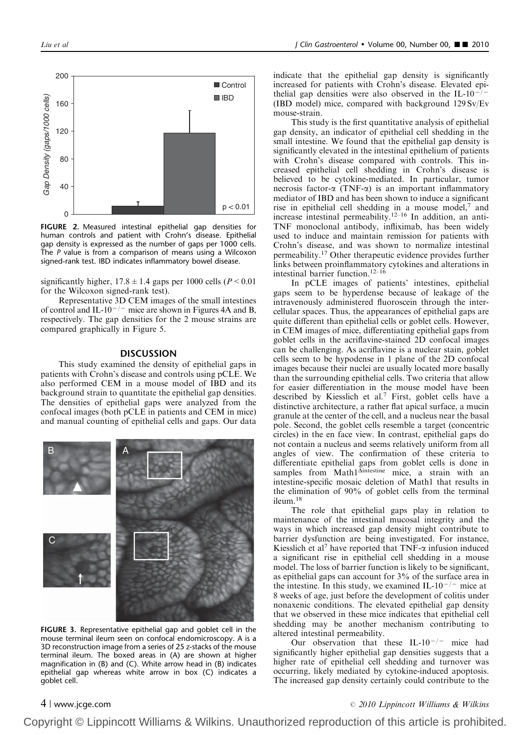

FIGURE 2. Measured intestinal epithelial gap densities for human controls and patient with Crohn's disease. Epithelial gap density is expressed as the number of gaps per 1000 cells. The P value is from a comparison of means using a Wilcoxon signed-rank test. IBD indicates inflammatory bowel disease.

significantly higher,  $17.8 \pm 1.4$  gaps per 1000 cells ( $P \le 0.01$ ) for the Wilcoxon signed-rank test).

Representative 3D CEM images of the small intestines of control and IL-10<sup>-/-</sup> mice are shown in Figures 4A and B, respectively. The gap densities for the 2 mouse strains are compared graphically in Figure 5.

### **DISCUSSION**

This study examined the density of epithelial gaps in patients with Crohn's disease and controls using pCLE. We also performed CEM in a mouse model of IBD and its background strain to quantitate the epithelial gap densities. The densities of epithelial gaps were analyzed from the confocal images (both pCLE in patients and CEM in mice) and manual counting of epithelial cells and gaps. Our data



FIGURE 3. Representative epithelial gap and goblet cell in the mouse terminal ileum seen on confocal endomicroscopy. A is a 3D reconstruction image from a series of 25 z-stacks of the mouse terminal ileum. The boxed areas in (A) are shown at higher magnification in (B) and (C). White arrow head in (B) indicates epithelial gap whereas white arrow in box (C) indicates a goblet cell.

indicate that the epithelial gap density is significantly increased for patients with Crohn's disease. Elevated epithelial gap densities were also observed in the IL-10<sup>- $/-$ </sup> (IBD model) mice, compared with background 129 Sv/Ev mouse-strain.

This study is the first quantitative analysis of epithelial gap density, an indicator of epithelial cell shedding in the small intestine. We found that the epithelial gap density is significantly elevated in the intestinal epithelium of patients with Crohn's disease compared with controls. This increased epithelial cell shedding in Crohn's disease is believed to be cytokine-mediated. In particular, tumor necrosis factor- $\alpha$  (TNF- $\alpha$ ) is an important inflammatory mediator of IBD and has been shown to induce a significant rise in epithelial cell shedding in a mouse model, $<sup>7</sup>$  and</sup> increase intestinal permeability.12–16 In addition, an anti-TNF monoclonal antibody, infliximab, has been widely used to induce and maintain remission for patients with Crohn's disease, and was shown to normalize intestinal permeability.<sup>17</sup> Other therapeutic evidence provides further links between proinflammatory cytokines and alterations in intestinal barrier function.12–16

In pCLE images of patients' intestines, epithelial gaps seem to be hyperdense because of leakage of the intravenously administered fluoroscein through the intercellular spaces. Thus, the appearances of epithelial gaps are quite different than epithelial cells or goblet cells. However, in CEM images of mice, differentiating epithelial gaps from goblet cells in the acriflavine-stained 2D confocal images can be challenging. As acriflavine is a nuclear stain, goblet cells seem to be hypodense in 1 plane of the 2D confocal images because their nuclei are usually located more basally than the surrounding epithelial cells. Two criteria that allow for easier differentiation in the mouse model have been described by Kiesslich et al.<sup>7</sup> First, goblet cells have a distinctive architecture, a rather flat apical surface, a mucin granule at the center of the cell, and a nucleus near the basal pole. Second, the goblet cells resemble a target (concentric circles) in the en face view. In contrast, epithelial gaps do not contain a nucleus and seems relatively uniform from all angles of view. The confirmation of these criteria to differentiate epithelial gaps from goblet cells is done in samples from  $Math1^{\text{Ainstein}}$  mice, a strain with an intestine-specific mosaic deletion of Math1 that results in the elimination of 90% of goblet cells from the terminal ileum<sup>18</sup>

The role that epithelial gaps play in relation to maintenance of the intestinal mucosal integrity and the ways in which increased gap density might contribute to barrier dysfunction are being investigated. For instance, Kiesslich et al<sup>7</sup> have reported that  $TNF-\alpha$  infusion induced a significant rise in epithelial cell shedding in a mouse model. The loss of barrier function is likely to be significant, as epithelial gaps can account for 3% of the surface area in the intestine. In this study, we examined IL- $10^{-/-}$  mice at 8 weeks of age, just before the development of colitis under nonaxenic conditions. The elevated epithelial gap density that we observed in these mice indicates that epithelial cell shedding may be another mechanism contributing to altered intestinal permeability.

Our observation that these IL-10<sup>-/-</sup> mice had significantly higher epithelial gap densities suggests that a higher rate of epithelial cell shedding and turnover was occurring, likely mediated by cytokine-induced apoptosis. The increased gap density certainly could contribute to the

# 4 | www.jcge.com **2010** Lippincott Williams & Wilkins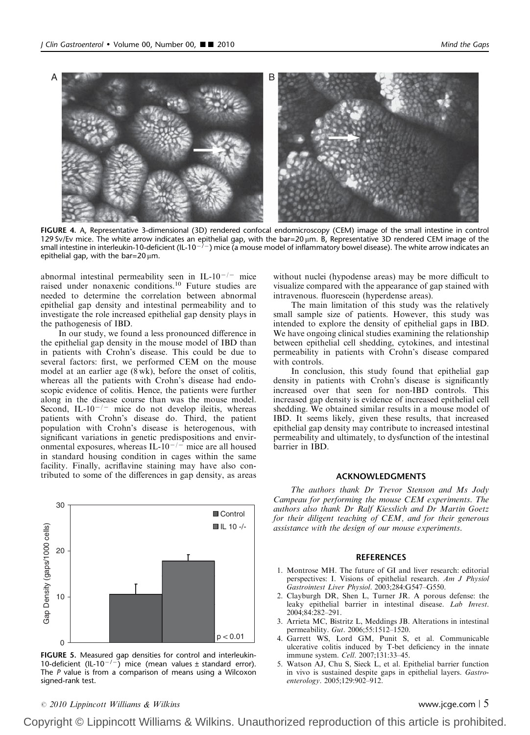

FIGURE 4. A, Representative 3-dimensional (3D) rendered confocal endomicroscopy (CEM) image of the small intestine in control 129 Sv/Ev mice. The white arrow indicates an epithelial gap, with the bar=20  $\mu$ m. B, Representative 3D rendered CEM image of the small intestine in interleukin-10-deficient (IL-10 $^{-/-}$ ) mice (a mouse model of inflammatory bowel disease). The white arrow indicates an epithelial gap, with the bar=20  $\mu$ m.

abnormal intestinal permeability seen in IL- $10^{-/-}$  mice raised under nonaxenic conditions.<sup>10</sup> Future studies are needed to determine the correlation between abnormal epithelial gap density and intestinal permeability and to investigate the role increased epithelial gap density plays in the pathogenesis of IBD.

In our study, we found a less pronounced difference in the epithelial gap density in the mouse model of IBD than in patients with Crohn's disease. This could be due to several factors: first, we performed CEM on the mouse model at an earlier age (8 wk), before the onset of colitis, whereas all the patients with Crohn's disease had endoscopic evidence of colitis. Hence, the patients were further along in the disease course than was the mouse model. Second, IL- $10^{-/-}$  mice do not develop ileitis, whereas patients with Crohn's disease do. Third, the patient population with Crohn's disease is heterogenous, with significant variations in genetic predispositions and environmental exposures, whereas  $IL-10^{-/-}$  mice are all housed in standard housing condition in cages within the same facility. Finally, acriflavine staining may have also contributed to some of the differences in gap density, as areas



FIGURE 5. Measured gap densities for control and interleukin-10-deficient (IL-10<sup>-/-</sup>) mice (mean values  $\pm$  standard error). The P value is from a comparison of means using a Wilcoxon signed-rank test.

without nuclei (hypodense areas) may be more difficult to visualize compared with the appearance of gap stained with intravenous. fluorescein (hyperdense areas).

The main limitation of this study was the relatively small sample size of patients. However, this study was intended to explore the density of epithelial gaps in IBD. We have ongoing clinical studies examining the relationship between epithelial cell shedding, cytokines, and intestinal permeability in patients with Crohn's disease compared with controls.

In conclusion, this study found that epithelial gap density in patients with Crohn's disease is significantly increased over that seen for non-IBD controls. This increased gap density is evidence of increased epithelial cell shedding. We obtained similar results in a mouse model of IBD. It seems likely, given these results, that increased epithelial gap density may contribute to increased intestinal permeability and ultimately, to dysfunction of the intestinal barrier in IBD.

### ACKNOWLEDGMENTS

The authors thank Dr Trevor Stenson and Ms Jody Campeau for performing the mouse CEM experiments. The authors also thank Dr Ralf Kiesslich and Dr Martin Goetz for their diligent teaching of CEM, and for their generous assistance with the design of our mouse experiments.

#### **REFERENCES**

- 1. Montrose MH. The future of GI and liver research: editorial perspectives: I. Visions of epithelial research. Am J Physiol Gastrointest Liver Physiol. 2003;284:G547–G550.
- 2. Clayburgh DR, Shen L, Turner JR. A porous defense: the leaky epithelial barrier in intestinal disease. Lab Invest. 2004;84:282–291.
- 3. Arrieta MC, Bistritz L, Meddings JB. Alterations in intestinal permeability. Gut. 2006;55:1512–1520.
- 4. Garrett WS, Lord GM, Punit S, et al. Communicable ulcerative colitis induced by T-bet deficiency in the innate immune system. Cell. 2007;131:33–45.
- 5. Watson AJ, Chu S, Sieck L, et al. Epithelial barrier function in vivo is sustained despite gaps in epithelial layers. Gastroenterology. 2005;129:902–912.

# $\degree$  2010 Lippincott Williams & Wilkins www.jcge.com | 5